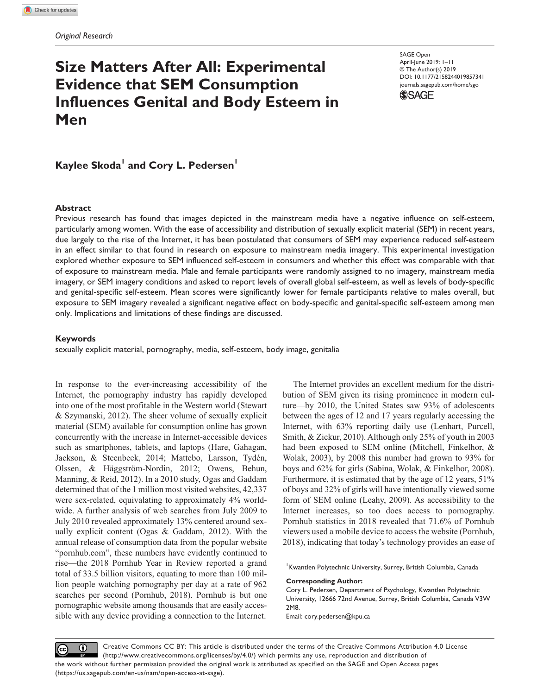# **Size Matters After All: Experimental Evidence that SEM Consumption Influences Genital and Body Esteem in Men**

https://doi.org/10.1177/2158244019857341 DOI: 10.1177/2158244019857341 SAGE Open April-June 2019: 1–11 © The Author(s) 2019 [journals.sagepub.com/home/sgo](https://journals.sagepub.com/home/sgo)



 $\mathsf{Kaylee\ Skoda}^{\mathsf{l}}$  and  $\mathsf{Cory\ L.}\ \mathsf{Pedersen}^{\mathsf{l}}$ 

# **Abstract**

Previous research has found that images depicted in the mainstream media have a negative influence on self-esteem, particularly among women. With the ease of accessibility and distribution of sexually explicit material (SEM) in recent years, due largely to the rise of the Internet, it has been postulated that consumers of SEM may experience reduced self-esteem in an effect similar to that found in research on exposure to mainstream media imagery. This experimental investigation explored whether exposure to SEM influenced self-esteem in consumers and whether this effect was comparable with that of exposure to mainstream media. Male and female participants were randomly assigned to no imagery, mainstream media imagery, or SEM imagery conditions and asked to report levels of overall global self-esteem, as well as levels of body-specific and genital-specific self-esteem. Mean scores were significantly lower for female participants relative to males overall, but exposure to SEM imagery revealed a significant negative effect on body-specific and genital-specific self-esteem among men only. Implications and limitations of these findings are discussed.

#### **Keywords**

sexually explicit material, pornography, media, self-esteem, body image, genitalia

In response to the ever-increasing accessibility of the Internet, the pornography industry has rapidly developed into one of the most profitable in the Western world (Stewart & Szymanski, 2012). The sheer volume of sexually explicit material (SEM) available for consumption online has grown concurrently with the increase in Internet-accessible devices such as smartphones, tablets, and laptops (Hare, Gahagan, Jackson, & Steenbeek, 2014; Mattebo, Larsson, Tydén, Olssen, & Häggström-Nordin, 2012; Owens, Behun, Manning, & Reid, 2012). In a 2010 study, Ogas and Gaddam determined that of the 1 million most visited websites, 42,337 were sex-related, equivalating to approximately 4% worldwide. A further analysis of web searches from July 2009 to July 2010 revealed approximately 13% centered around sexually explicit content (Ogas & Gaddam, 2012). With the annual release of consumption data from the popular website "pornhub.com", these numbers have evidently continued to rise—the 2018 Pornhub Year in Review reported a grand total of 33.5 billion visitors, equating to more than 100 million people watching pornography per day at a rate of 962 searches per second (Pornhub, 2018). Pornhub is but one pornographic website among thousands that are easily accessible with any device providing a connection to the Internet.

The Internet provides an excellent medium for the distribution of SEM given its rising prominence in modern culture—by 2010, the United States saw 93% of adolescents between the ages of 12 and 17 years regularly accessing the Internet, with 63% reporting daily use (Lenhart, Purcell, Smith, & Zickur, 2010). Although only 25% of youth in 2003 had been exposed to SEM online (Mitchell, Finkelhor, & Wolak, 2003), by 2008 this number had grown to 93% for boys and 62% for girls (Sabina, Wolak, & Finkelhor, 2008). Furthermore, it is estimated that by the age of 12 years, 51% of boys and 32% of girls will have intentionally viewed some form of SEM online (Leahy, 2009). As accessibility to the Internet increases, so too does access to pornography. Pornhub statistics in 2018 revealed that 71.6% of Pornhub viewers used a mobile device to access the website (Pornhub, 2018), indicating that today's technology provides an ease of

1 Kwantlen Polytechnic University, Surrey, British Columbia, Canada

#### **Corresponding Author:**

Email: cory.pedersen@kpu.ca

Creative Commons CC BY: This article is distributed under the terms of the Creative Commons Attribution 4.0 License  $\odot$  $\left(\mathrm{cc}\right)$ (http://www.creativecommons.org/licenses/by/4.0/) which permits any use, reproduction and distribution of the work without further permission provided the original work is attributed as specified on the SAGE and Open Access pages (https://us.sagepub.com/en-us/nam/open-access-at-sage).

Cory L. Pedersen, Department of Psychology, Kwantlen Polytechnic University, 12666 72nd Avenue, Surrey, British Columbia, Canada V3W 2M8.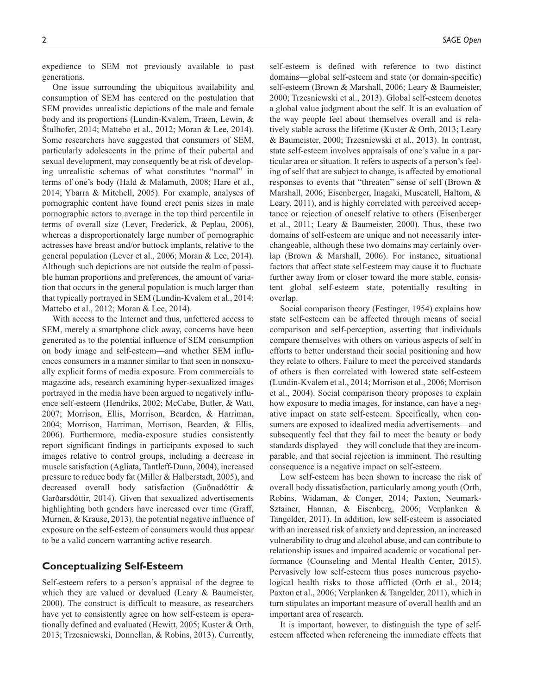expedience to SEM not previously available to past generations.

One issue surrounding the ubiquitous availability and consumption of SEM has centered on the postulation that SEM provides unrealistic depictions of the male and female body and its proportions (Lundin-Kvalem, Træen, Lewin, & Štulhofer, 2014; Mattebo et al., 2012; Moran & Lee, 2014). Some researchers have suggested that consumers of SEM, particularly adolescents in the prime of their pubertal and sexual development, may consequently be at risk of developing unrealistic schemas of what constitutes "normal" in terms of one's body (Hald & Malamuth, 2008; Hare et al., 2014; Ybarra & Mitchell, 2005). For example, analyses of pornographic content have found erect penis sizes in male pornographic actors to average in the top third percentile in terms of overall size (Lever, Frederick, & Peplau, 2006), whereas a disproportionately large number of pornographic actresses have breast and/or buttock implants, relative to the general population (Lever et al., 2006; Moran & Lee, 2014). Although such depictions are not outside the realm of possible human proportions and preferences, the amount of variation that occurs in the general population is much larger than that typically portrayed in SEM (Lundin-Kvalem et al., 2014; Mattebo et al., 2012; Moran & Lee, 2014).

With access to the Internet and thus, unfettered access to SEM, merely a smartphone click away, concerns have been generated as to the potential influence of SEM consumption on body image and self-esteem—and whether SEM influences consumers in a manner similar to that seen in nonsexually explicit forms of media exposure. From commercials to magazine ads, research examining hyper-sexualized images portrayed in the media have been argued to negatively influence self-esteem (Hendriks, 2002; McCabe, Butler, & Watt, 2007; Morrison, Ellis, Morrison, Bearden, & Harriman, 2004; Morrison, Harriman, Morrison, Bearden, & Ellis, 2006). Furthermore, media-exposure studies consistently report significant findings in participants exposed to such images relative to control groups, including a decrease in muscle satisfaction (Agliata, Tantleff-Dunn, 2004), increased pressure to reduce body fat (Miller & Halberstadt, 2005), and decreased overall body satisfaction (Guðnadóttir & Garðarsdóttir, 2014). Given that sexualized advertisements highlighting both genders have increased over time (Graff, Murnen, & Krause, 2013), the potential negative influence of exposure on the self-esteem of consumers would thus appear to be a valid concern warranting active research.

# **Conceptualizing Self-Esteem**

Self-esteem refers to a person's appraisal of the degree to which they are valued or devalued (Leary & Baumeister, 2000). The construct is difficult to measure, as researchers have yet to consistently agree on how self-esteem is operationally defined and evaluated (Hewitt, 2005; Kuster & Orth, 2013; Trzesniewski, Donnellan, & Robins, 2013). Currently,

self-esteem is defined with reference to two distinct domains—global self-esteem and state (or domain-specific) self-esteem (Brown & Marshall, 2006; Leary & Baumeister, 2000; Trzesniewski et al., 2013). Global self-esteem denotes a global value judgment about the self. It is an evaluation of the way people feel about themselves overall and is relatively stable across the lifetime (Kuster & Orth, 2013; Leary & Baumeister, 2000; Trzesniewski et al., 2013). In contrast, state self-esteem involves appraisals of one's value in a particular area or situation. It refers to aspects of a person's feeling of self that are subject to change, is affected by emotional responses to events that "threaten" sense of self (Brown & Marshall, 2006; Eisenberger, Inagaki, Muscatell, Haltom, & Leary, 2011), and is highly correlated with perceived acceptance or rejection of oneself relative to others (Eisenberger et al., 2011; Leary & Baumeister, 2000). Thus, these two domains of self-esteem are unique and not necessarily interchangeable, although these two domains may certainly overlap (Brown & Marshall, 2006). For instance, situational factors that affect state self-esteem may cause it to fluctuate further away from or closer toward the more stable, consistent global self-esteem state, potentially resulting in overlap.

Social comparison theory (Festinger, 1954) explains how state self-esteem can be affected through means of social comparison and self-perception, asserting that individuals compare themselves with others on various aspects of self in efforts to better understand their social positioning and how they relate to others. Failure to meet the perceived standards of others is then correlated with lowered state self-esteem (Lundin-Kvalem et al., 2014; Morrison et al., 2006; Morrison et al., 2004). Social comparison theory proposes to explain how exposure to media images, for instance, can have a negative impact on state self-esteem. Specifically, when consumers are exposed to idealized media advertisements—and subsequently feel that they fail to meet the beauty or body standards displayed—they will conclude that they are incomparable, and that social rejection is imminent. The resulting consequence is a negative impact on self-esteem.

Low self-esteem has been shown to increase the risk of overall body dissatisfaction, particularly among youth (Orth, Robins, Widaman, & Conger, 2014; Paxton, Neumark-Sztainer, Hannan, & Eisenberg, 2006; Verplanken & Tangelder, 2011). In addition, low self-esteem is associated with an increased risk of anxiety and depression, an increased vulnerability to drug and alcohol abuse, and can contribute to relationship issues and impaired academic or vocational performance (Counseling and Mental Health Center, 2015). Pervasively low self-esteem thus poses numerous psychological health risks to those afflicted (Orth et al., 2014; Paxton et al., 2006; Verplanken & Tangelder, 2011), which in turn stipulates an important measure of overall health and an important area of research.

It is important, however, to distinguish the type of selfesteem affected when referencing the immediate effects that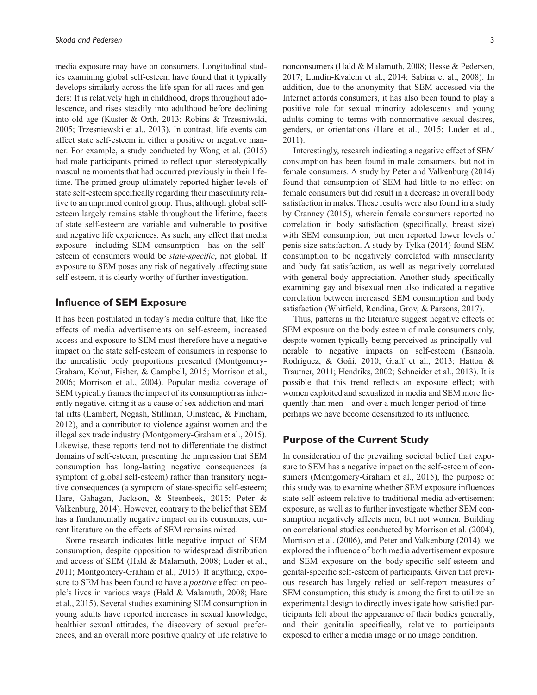media exposure may have on consumers. Longitudinal studies examining global self-esteem have found that it typically develops similarly across the life span for all races and genders: It is relatively high in childhood, drops throughout adolescence, and rises steadily into adulthood before declining into old age (Kuster & Orth, 2013; Robins & Trzesniwski, 2005; Trzesniewski et al., 2013). In contrast, life events can affect state self-esteem in either a positive or negative manner. For example, a study conducted by Wong et al. (2015) had male participants primed to reflect upon stereotypically masculine moments that had occurred previously in their lifetime. The primed group ultimately reported higher levels of state self-esteem specifically regarding their masculinity relative to an unprimed control group. Thus, although global selfesteem largely remains stable throughout the lifetime, facets of state self-esteem are variable and vulnerable to positive and negative life experiences. As such, any effect that media exposure—including SEM consumption—has on the selfesteem of consumers would be *state-specific*, not global. If exposure to SEM poses any risk of negatively affecting state self-esteem, it is clearly worthy of further investigation.

# **Influence of SEM Exposure**

It has been postulated in today's media culture that, like the effects of media advertisements on self-esteem, increased access and exposure to SEM must therefore have a negative impact on the state self-esteem of consumers in response to the unrealistic body proportions presented (Montgomery-Graham, Kohut, Fisher, & Campbell, 2015; Morrison et al., 2006; Morrison et al., 2004). Popular media coverage of SEM typically frames the impact of its consumption as inherently negative, citing it as a cause of sex addiction and marital rifts (Lambert, Negash, Stillman, Olmstead, & Fincham, 2012), and a contributor to violence against women and the illegal sex trade industry (Montgomery-Graham et al., 2015). Likewise, these reports tend not to differentiate the distinct domains of self-esteem, presenting the impression that SEM consumption has long-lasting negative consequences (a symptom of global self-esteem) rather than transitory negative consequences (a symptom of state-specific self-esteem; Hare, Gahagan, Jackson, & Steenbeek, 2015; Peter & Valkenburg, 2014). However, contrary to the belief that SEM has a fundamentally negative impact on its consumers, current literature on the effects of SEM remains mixed.

Some research indicates little negative impact of SEM consumption, despite opposition to widespread distribution and access of SEM (Hald & Malamuth, 2008; Luder et al., 2011; Montgomery-Graham et al., 2015). If anything, exposure to SEM has been found to have a *positive* effect on people's lives in various ways (Hald & Malamuth, 2008; Hare et al., 2015). Several studies examining SEM consumption in young adults have reported increases in sexual knowledge, healthier sexual attitudes, the discovery of sexual preferences, and an overall more positive quality of life relative to

nonconsumers (Hald & Malamuth, 2008; Hesse & Pedersen, 2017; Lundin-Kvalem et al., 2014; Sabina et al., 2008). In addition, due to the anonymity that SEM accessed via the Internet affords consumers, it has also been found to play a positive role for sexual minority adolescents and young adults coming to terms with nonnormative sexual desires, genders, or orientations (Hare et al., 2015; Luder et al., 2011).

Interestingly, research indicating a negative effect of SEM consumption has been found in male consumers, but not in female consumers. A study by Peter and Valkenburg (2014) found that consumption of SEM had little to no effect on female consumers but did result in a decrease in overall body satisfaction in males. These results were also found in a study by Cranney (2015), wherein female consumers reported no correlation in body satisfaction (specifically, breast size) with SEM consumption, but men reported lower levels of penis size satisfaction. A study by Tylka (2014) found SEM consumption to be negatively correlated with muscularity and body fat satisfaction, as well as negatively correlated with general body appreciation. Another study specifically examining gay and bisexual men also indicated a negative correlation between increased SEM consumption and body satisfaction (Whitfield, Rendina, Grov, & Parsons, 2017).

Thus, patterns in the literature suggest negative effects of SEM exposure on the body esteem of male consumers only, despite women typically being perceived as principally vulnerable to negative impacts on self-esteem (Esnaola, Rodríguez, & Goñi, 2010; Graff et al., 2013; Hatton & Trautner, 2011; Hendriks, 2002; Schneider et al., 2013). It is possible that this trend reflects an exposure effect; with women exploited and sexualized in media and SEM more frequently than men—and over a much longer period of time perhaps we have become desensitized to its influence.

# **Purpose of the Current Study**

In consideration of the prevailing societal belief that exposure to SEM has a negative impact on the self-esteem of consumers (Montgomery-Graham et al., 2015), the purpose of this study was to examine whether SEM exposure influences state self-esteem relative to traditional media advertisement exposure, as well as to further investigate whether SEM consumption negatively affects men, but not women. Building on correlational studies conducted by Morrison et al. (2004), Morrison et al. (2006), and Peter and Valkenburg (2014), we explored the influence of both media advertisement exposure and SEM exposure on the body-specific self-esteem and genital-specific self-esteem of participants. Given that previous research has largely relied on self-report measures of SEM consumption, this study is among the first to utilize an experimental design to directly investigate how satisfied participants felt about the appearance of their bodies generally, and their genitalia specifically, relative to participants exposed to either a media image or no image condition.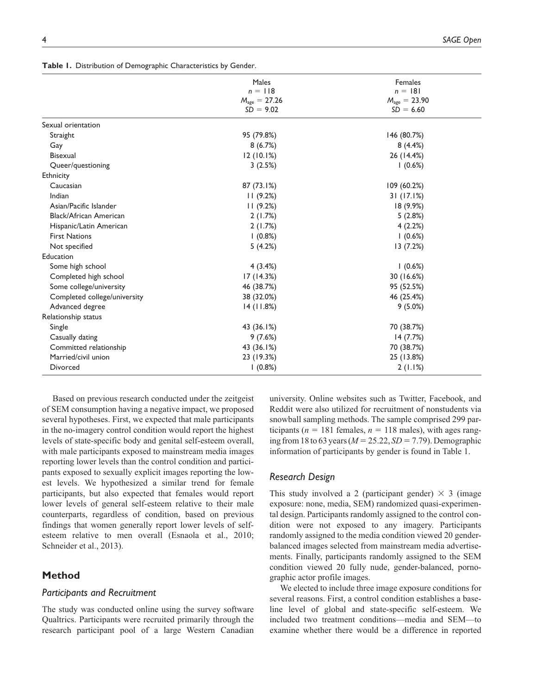|  |  |  | Table I. Distribution of Demographic Characteristics by Gender. |  |
|--|--|--|-----------------------------------------------------------------|--|
|--|--|--|-----------------------------------------------------------------|--|

|                               | Males                    | Females                  |
|-------------------------------|--------------------------|--------------------------|
|                               | $n = 118$                | $n = 181$                |
|                               | $M_{\text{age}} = 27.26$ | $M_{\text{age}} = 23.90$ |
|                               | $SD = 9.02$              | $SD = 6.60$              |
| Sexual orientation            |                          |                          |
| Straight                      | 95 (79.8%)               | 146 (80.7%)              |
| Gay                           | 8(6.7%)                  | 8(4.4%)                  |
| <b>Bisexual</b>               | 12(10.1%)                | 26 (14.4%)               |
| Queer/questioning             | 3(2.5%)                  | 1(0.6%)                  |
| Ethnicity                     |                          |                          |
| Caucasian                     | 87 (73.1%)               | 109 (60.2%)              |
| Indian                        | 11(9.2%)                 | 31(17.1%)                |
| Asian/Pacific Islander        | 11(9.2%)                 | 18 (9.9%)                |
| <b>Black/African American</b> | 2(1.7%)                  | 5(2.8%)                  |
| Hispanic/Latin American       | 2(1.7%)                  | 4(2.2%)                  |
| <b>First Nations</b>          | $(0.8\%)$                | 1(0.6%)                  |
| Not specified                 | 5(4.2%)                  | 13 (7.2%)                |
| Education                     |                          |                          |
| Some high school              | 4(3.4%)                  | 1(0.6%)                  |
| Completed high school         | 17(14.3%)                | 30 (16.6%)               |
| Some college/university       | 46 (38.7%)               | 95 (52.5%)               |
| Completed college/university  | 38 (32.0%)               | 46 (25.4%)               |
| Advanced degree               | 14(11.8%)                | $9(5.0\%)$               |
| Relationship status           |                          |                          |
| Single                        | 43 (36.1%)               | 70 (38.7%)               |
| Casually dating               | 9(7.6%)                  | 14(7.7%)                 |
| Committed relationship        | 43 (36.1%)               | 70 (38.7%)               |
| Married/civil union           | 23 (19.3%)               | 25 (13.8%)               |
| Divorced                      | $(0.8\%)$                | 2(1.1%)                  |

Based on previous research conducted under the zeitgeist of SEM consumption having a negative impact, we proposed several hypotheses. First, we expected that male participants in the no-imagery control condition would report the highest levels of state-specific body and genital self-esteem overall, with male participants exposed to mainstream media images reporting lower levels than the control condition and participants exposed to sexually explicit images reporting the lowest levels. We hypothesized a similar trend for female participants, but also expected that females would report lower levels of general self-esteem relative to their male counterparts, regardless of condition, based on previous findings that women generally report lower levels of selfesteem relative to men overall (Esnaola et al., 2010; Schneider et al., 2013).

# **Method**

## *Participants and Recruitment*

The study was conducted online using the survey software Qualtrics. Participants were recruited primarily through the research participant pool of a large Western Canadian

university. Online websites such as Twitter, Facebook, and Reddit were also utilized for recruitment of nonstudents via snowball sampling methods. The sample comprised 299 participants ( $n = 181$  females,  $n = 118$  males), with ages ranging from 18 to 63 years (*M* = 25.22, *SD* = 7.79). Demographic information of participants by gender is found in Table 1.

#### *Research Design*

This study involved a 2 (participant gender)  $\times$  3 (image exposure: none, media, SEM) randomized quasi-experimental design. Participants randomly assigned to the control condition were not exposed to any imagery. Participants randomly assigned to the media condition viewed 20 genderbalanced images selected from mainstream media advertisements. Finally, participants randomly assigned to the SEM condition viewed 20 fully nude, gender-balanced, pornographic actor profile images.

We elected to include three image exposure conditions for several reasons. First, a control condition establishes a baseline level of global and state-specific self-esteem. We included two treatment conditions—media and SEM—to examine whether there would be a difference in reported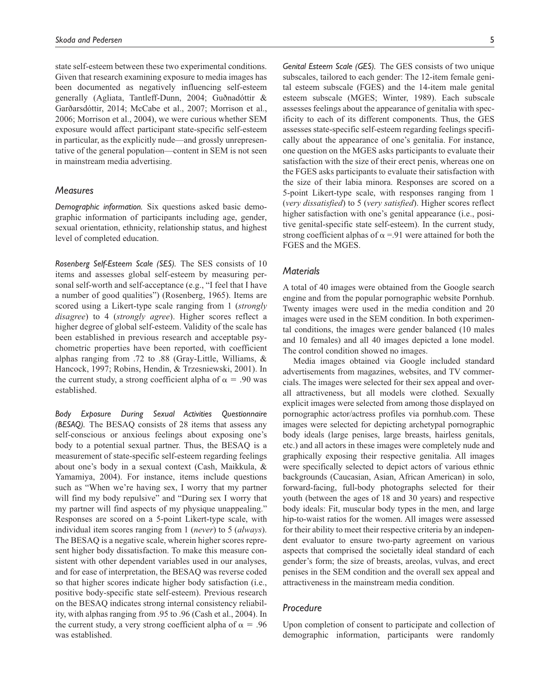state self-esteem between these two experimental conditions. Given that research examining exposure to media images has been documented as negatively influencing self-esteem generally (Agliata, Tantleff-Dunn, 2004; Guðnadóttir & Garðarsdóttir, 2014; McCabe et al., 2007; Morrison et al., 2006; Morrison et al., 2004), we were curious whether SEM exposure would affect participant state-specific self-esteem in particular, as the explicitly nude—and grossly unrepresentative of the general population—content in SEM is not seen in mainstream media advertising.

#### *Measures*

*Demographic information.* Six questions asked basic demographic information of participants including age, gender, sexual orientation, ethnicity, relationship status, and highest level of completed education.

*Rosenberg Self-Esteem Scale (SES).* The SES consists of 10 items and assesses global self-esteem by measuring personal self-worth and self-acceptance (e.g., "I feel that I have a number of good qualities") (Rosenberg, 1965). Items are scored using a Likert-type scale ranging from 1 (*strongly disagree*) to 4 (*strongly agree*). Higher scores reflect a higher degree of global self-esteem. Validity of the scale has been established in previous research and acceptable psychometric properties have been reported, with coefficient alphas ranging from .72 to .88 (Gray-Little, Williams, & Hancock, 1997; Robins, Hendin, & Trzesniewski, 2001). In the current study, a strong coefficient alpha of  $\alpha = .90$  was established.

*Body Exposure During Sexual Activities Questionnaire (BESAQ).* The BESAQ consists of 28 items that assess any self-conscious or anxious feelings about exposing one's body to a potential sexual partner. Thus, the BESAQ is a measurement of state-specific self-esteem regarding feelings about one's body in a sexual context (Cash, Maikkula, & Yamamiya, 2004). For instance, items include questions such as "When we're having sex, I worry that my partner will find my body repulsive" and "During sex I worry that my partner will find aspects of my physique unappealing." Responses are scored on a 5-point Likert-type scale, with individual item scores ranging from 1 (*never*) to 5 (*always*). The BESAQ is a negative scale, wherein higher scores represent higher body dissatisfaction. To make this measure consistent with other dependent variables used in our analyses, and for ease of interpretation, the BESAQ was reverse coded so that higher scores indicate higher body satisfaction (i.e., positive body-specific state self-esteem). Previous research on the BESAQ indicates strong internal consistency reliability, with alphas ranging from .95 to .96 (Cash et al., 2004). In the current study, a very strong coefficient alpha of  $\alpha = .96$ was established.

*Genital Esteem Scale (GES).* The GES consists of two unique subscales, tailored to each gender: The 12-item female genital esteem subscale (FGES) and the 14-item male genital esteem subscale (MGES; Winter, 1989). Each subscale assesses feelings about the appearance of genitalia with specificity to each of its different components. Thus, the GES assesses state-specific self-esteem regarding feelings specifically about the appearance of one's genitalia. For instance, one question on the MGES asks participants to evaluate their satisfaction with the size of their erect penis, whereas one on the FGES asks participants to evaluate their satisfaction with the size of their labia minora. Responses are scored on a 5-point Likert-type scale, with responses ranging from 1 (*very dissatisfied*) to 5 (*very satisfied*). Higher scores reflect higher satisfaction with one's genital appearance (i.e., positive genital-specific state self-esteem). In the current study, strong coefficient alphas of  $\alpha = 91$  were attained for both the FGES and the MGES.

### *Materials*

A total of 40 images were obtained from the Google search engine and from the popular pornographic website Pornhub. Twenty images were used in the media condition and 20 images were used in the SEM condition. In both experimental conditions, the images were gender balanced (10 males and 10 females) and all 40 images depicted a lone model. The control condition showed no images.

Media images obtained via Google included standard advertisements from magazines, websites, and TV commercials. The images were selected for their sex appeal and overall attractiveness, but all models were clothed. Sexually explicit images were selected from among those displayed on pornographic actor/actress profiles via pornhub.com. These images were selected for depicting archetypal pornographic body ideals (large penises, large breasts, hairless genitals, etc.) and all actors in these images were completely nude and graphically exposing their respective genitalia. All images were specifically selected to depict actors of various ethnic backgrounds (Caucasian, Asian, African American) in solo, forward-facing, full-body photographs selected for their youth (between the ages of 18 and 30 years) and respective body ideals: Fit, muscular body types in the men, and large hip-to-waist ratios for the women. All images were assessed for their ability to meet their respective criteria by an independent evaluator to ensure two-party agreement on various aspects that comprised the societally ideal standard of each gender's form; the size of breasts, areolas, vulvas, and erect penises in the SEM condition and the overall sex appeal and attractiveness in the mainstream media condition.

## *Procedure*

Upon completion of consent to participate and collection of demographic information, participants were randomly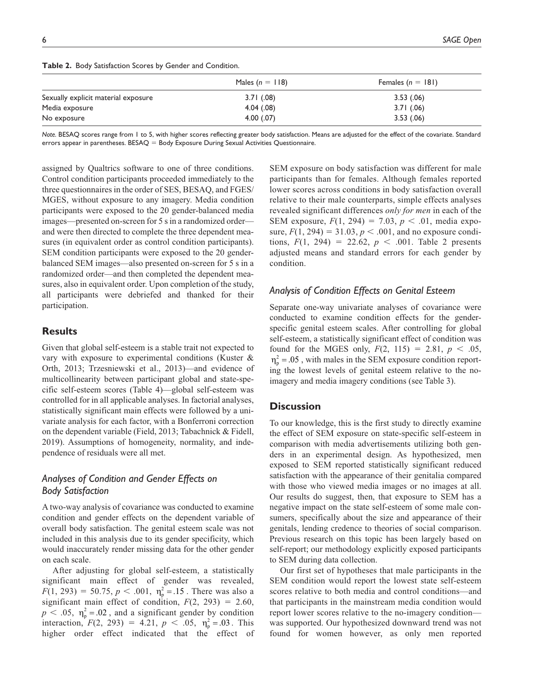|                                     | Males $(n = 118)$ | Females $(n = 181)$ |
|-------------------------------------|-------------------|---------------------|
| Sexually explicit material exposure | 3.71(0.08)        | 3.53(.06)           |
| Media exposure                      | 4.04(.08)         | 3.71(0.06)          |
| No exposure                         | 4.00(.07)         | 3.53(.06)           |

**Table 2.** Body Satisfaction Scores by Gender and Condition.

*Note.* BESAQ scores range from 1 to 5, with higher scores reflecting greater body satisfaction. Means are adjusted for the effect of the covariate. Standard errors appear in parentheses. BESAQ = Body Exposure During Sexual Activities Questionnaire.

assigned by Qualtrics software to one of three conditions. Control condition participants proceeded immediately to the three questionnaires in the order of SES, BESAQ, and FGES/ MGES, without exposure to any imagery. Media condition participants were exposed to the 20 gender-balanced media images—presented on-screen for 5 s in a randomized order and were then directed to complete the three dependent measures (in equivalent order as control condition participants). SEM condition participants were exposed to the 20 genderbalanced SEM images—also presented on-screen for 5 s in a randomized order—and then completed the dependent measures, also in equivalent order. Upon completion of the study, all participants were debriefed and thanked for their participation.

### **Results**

Given that global self-esteem is a stable trait not expected to vary with exposure to experimental conditions (Kuster & Orth, 2013; Trzesniewski et al., 2013)—and evidence of multicollinearity between participant global and state-specific self-esteem scores (Table 4)—global self-esteem was controlled for in all applicable analyses. In factorial analyses, statistically significant main effects were followed by a univariate analysis for each factor, with a Bonferroni correction on the dependent variable (Field, 2013; Tabachnick & Fidell, 2019). Assumptions of homogeneity, normality, and independence of residuals were all met.

# *Analyses of Condition and Gender Effects on Body Satisfaction*

A two-way analysis of covariance was conducted to examine condition and gender effects on the dependent variable of overall body satisfaction. The genital esteem scale was not included in this analysis due to its gender specificity, which would inaccurately render missing data for the other gender on each scale.

After adjusting for global self-esteem, a statistically significant main effect of gender was revealed,  $F(1, 293) = 50.75, p < .001, \eta_p^2 = .15$ . There was also a significant main effect of condition,  $F(2, 293) = 2.60$ ,  $p < .05$ ,  $\eta_p^2 = .02$ , and a significant gender by condition interaction,  $F(2, 293) = 4.21$ ,  $p < .05$ ,  $\eta_p^2 = .03$ . This higher order effect indicated that the effect of

SEM exposure on body satisfaction was different for male participants than for females. Although females reported lower scores across conditions in body satisfaction overall relative to their male counterparts, simple effects analyses revealed significant differences *only for men* in each of the SEM exposure,  $F(1, 294) = 7.03$ ,  $p < .01$ , media exposure,  $F(1, 294) = 31.03$ ,  $p < .001$ , and no exposure conditions,  $F(1, 294) = 22.62$ ,  $p < .001$ . Table 2 presents adjusted means and standard errors for each gender by condition.

## *Analysis of Condition Effects on Genital Esteem*

Separate one-way univariate analyses of covariance were conducted to examine condition effects for the genderspecific genital esteem scales. After controlling for global self-esteem, a statistically significant effect of condition was found for the MGES only,  $F(2, 115) = 2.81$ ,  $p < .05$ ,  $\eta_{\rm p}^2$  = .05, with males in the SEM exposure condition reporting the lowest levels of genital esteem relative to the noimagery and media imagery conditions (see Table 3).

#### **Discussion**

To our knowledge, this is the first study to directly examine the effect of SEM exposure on state-specific self-esteem in comparison with media advertisements utilizing both genders in an experimental design. As hypothesized, men exposed to SEM reported statistically significant reduced satisfaction with the appearance of their genitalia compared with those who viewed media images or no images at all. Our results do suggest, then, that exposure to SEM has a negative impact on the state self-esteem of some male consumers, specifically about the size and appearance of their genitals, lending credence to theories of social comparison. Previous research on this topic has been largely based on self-report; our methodology explicitly exposed participants to SEM during data collection.

Our first set of hypotheses that male participants in the SEM condition would report the lowest state self-esteem scores relative to both media and control conditions—and that participants in the mainstream media condition would report lower scores relative to the no-imagery condition was supported. Our hypothesized downward trend was not found for women however, as only men reported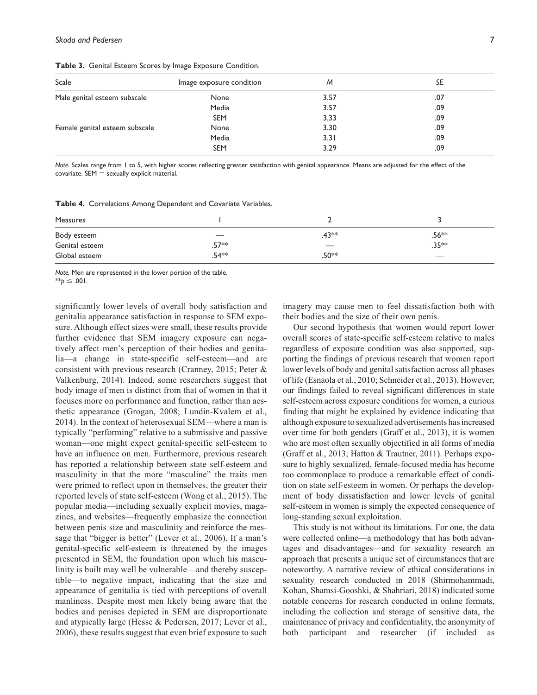| Scale                          | Image exposure condition | M    | SE  |
|--------------------------------|--------------------------|------|-----|
| Male genital esteem subscale   | None                     | 3.57 | .07 |
|                                | Media                    | 3.57 | .09 |
|                                | <b>SEM</b>               | 3.33 | .09 |
| Female genital esteem subscale | None                     | 3.30 | .09 |
|                                | Media                    | 3.31 | .09 |
|                                | <b>SEM</b>               | 3.29 | .09 |

**Table 3.** Genital Esteem Scores by Image Exposure Condition.

*Note.* Scales range from 1 to 5, with higher scores reflecting greater satisfaction with genital appearance. Means are adjusted for the effect of the  $covariate.$  SEM  $=$  sexually explicit material.

**Table 4.** Correlations Among Dependent and Covariate Variables.

| Measures       |                                 |                   |                   |
|----------------|---------------------------------|-------------------|-------------------|
| Body esteem    | $\hspace{0.1mm}-\hspace{0.1mm}$ | .43**             | .56 <sup>**</sup> |
| Genital esteem | .57 <sup>*</sup> *              |                   | $.35**$           |
| Global esteem  | .54 <sup>∗</sup> *              | .50 <sup>**</sup> |                   |

*Note.* Men are represented in the lower portion of the table. \*\**p* ≤ .001.

significantly lower levels of overall body satisfaction and genitalia appearance satisfaction in response to SEM exposure. Although effect sizes were small, these results provide further evidence that SEM imagery exposure can negatively affect men's perception of their bodies and genitalia—a change in state-specific self-esteem—and are consistent with previous research (Cranney, 2015; Peter & Valkenburg, 2014). Indeed, some researchers suggest that body image of men is distinct from that of women in that it focuses more on performance and function, rather than aesthetic appearance (Grogan, 2008; Lundin-Kvalem et al., 2014). In the context of heterosexual SEM—where a man is typically "performing" relative to a submissive and passive woman—one might expect genital-specific self-esteem to have an influence on men. Furthermore, previous research has reported a relationship between state self-esteem and masculinity in that the more "masculine" the traits men were primed to reflect upon in themselves, the greater their reported levels of state self-esteem (Wong et al., 2015). The popular media—including sexually explicit movies, magazines, and websites—frequently emphasize the connection between penis size and masculinity and reinforce the message that "bigger is better" (Lever et al., 2006). If a man's genital-specific self-esteem is threatened by the images presented in SEM, the foundation upon which his masculinity is built may well be vulnerable—and thereby susceptible—to negative impact, indicating that the size and appearance of genitalia is tied with perceptions of overall manliness. Despite most men likely being aware that the bodies and penises depicted in SEM are disproportionate and atypically large (Hesse & Pedersen, 2017; Lever et al., 2006), these results suggest that even brief exposure to such imagery may cause men to feel dissatisfaction both with their bodies and the size of their own penis.

Our second hypothesis that women would report lower overall scores of state-specific self-esteem relative to males regardless of exposure condition was also supported, supporting the findings of previous research that women report lower levels of body and genital satisfaction across all phases of life (Esnaola et al., 2010; Schneider et al., 2013). However, our findings failed to reveal significant differences in state self-esteem across exposure conditions for women, a curious finding that might be explained by evidence indicating that although exposure to sexualized advertisements has increased over time for both genders (Graff et al., 2013), it is women who are most often sexually objectified in all forms of media (Graff et al., 2013; Hatton & Trautner, 2011). Perhaps exposure to highly sexualized, female-focused media has become too commonplace to produce a remarkable effect of condition on state self-esteem in women. Or perhaps the development of body dissatisfaction and lower levels of genital self-esteem in women is simply the expected consequence of long-standing sexual exploitation.

This study is not without its limitations. For one, the data were collected online—a methodology that has both advantages and disadvantages—and for sexuality research an approach that presents a unique set of circumstances that are noteworthy. A narrative review of ethical considerations in sexuality research conducted in 2018 (Shirmohammadi, Kohan, Shamsi-Gooshki, & Shahriari, 2018) indicated some notable concerns for research conducted in online formats, including the collection and storage of sensitive data, the maintenance of privacy and confidentiality, the anonymity of both participant and researcher (if included as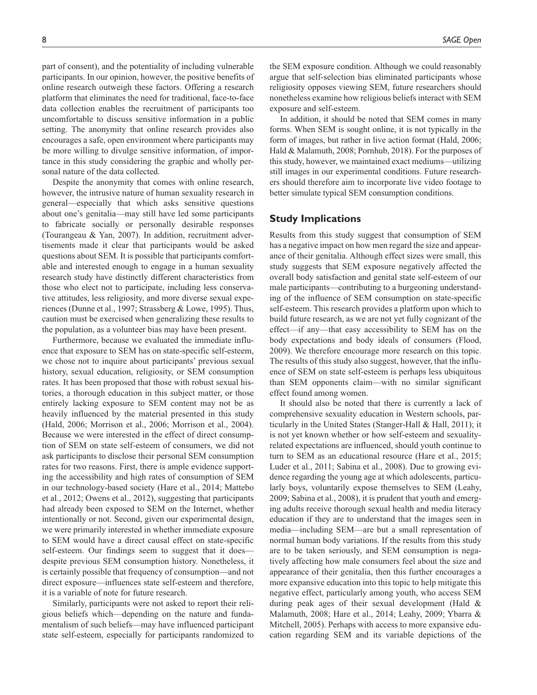part of consent), and the potentiality of including vulnerable participants. In our opinion, however, the positive benefits of online research outweigh these factors. Offering a research platform that eliminates the need for traditional, face-to-face data collection enables the recruitment of participants too uncomfortable to discuss sensitive information in a public setting. The anonymity that online research provides also encourages a safe, open environment where participants may be more willing to divulge sensitive information, of importance in this study considering the graphic and wholly personal nature of the data collected.

Despite the anonymity that comes with online research, however, the intrusive nature of human sexuality research in general—especially that which asks sensitive questions about one's genitalia—may still have led some participants to fabricate socially or personally desirable responses (Tourangeau & Yan, 2007). In addition, recruitment advertisements made it clear that participants would be asked questions about SEM. It is possible that participants comfortable and interested enough to engage in a human sexuality research study have distinctly different characteristics from those who elect not to participate, including less conservative attitudes, less religiosity, and more diverse sexual experiences (Dunne et al., 1997; Strassberg & Lowe, 1995). Thus, caution must be exercised when generalizing these results to the population, as a volunteer bias may have been present.

Furthermore, because we evaluated the immediate influence that exposure to SEM has on state-specific self-esteem, we chose not to inquire about participants' previous sexual history, sexual education, religiosity, or SEM consumption rates. It has been proposed that those with robust sexual histories, a thorough education in this subject matter, or those entirely lacking exposure to SEM content may not be as heavily influenced by the material presented in this study (Hald, 2006; Morrison et al., 2006; Morrison et al., 2004). Because we were interested in the effect of direct consumption of SEM on state self-esteem of consumers, we did not ask participants to disclose their personal SEM consumption rates for two reasons. First, there is ample evidence supporting the accessibility and high rates of consumption of SEM in our technology-based society (Hare et al., 2014; Mattebo et al., 2012; Owens et al., 2012), suggesting that participants had already been exposed to SEM on the Internet, whether intentionally or not. Second, given our experimental design, we were primarily interested in whether immediate exposure to SEM would have a direct causal effect on state-specific self-esteem. Our findings seem to suggest that it does despite previous SEM consumption history. Nonetheless, it is certainly possible that frequency of consumption—and not direct exposure—influences state self-esteem and therefore, it is a variable of note for future research.

Similarly, participants were not asked to report their religious beliefs which—depending on the nature and fundamentalism of such beliefs—may have influenced participant state self-esteem, especially for participants randomized to

the SEM exposure condition. Although we could reasonably argue that self-selection bias eliminated participants whose religiosity opposes viewing SEM, future researchers should nonetheless examine how religious beliefs interact with SEM exposure and self-esteem.

In addition, it should be noted that SEM comes in many forms. When SEM is sought online, it is not typically in the form of images, but rather in live action format (Hald, 2006; Hald & Malamuth, 2008; Pornhub, 2018). For the purposes of this study, however, we maintained exact mediums—utilizing still images in our experimental conditions. Future researchers should therefore aim to incorporate live video footage to better simulate typical SEM consumption conditions.

## **Study Implications**

Results from this study suggest that consumption of SEM has a negative impact on how men regard the size and appearance of their genitalia. Although effect sizes were small, this study suggests that SEM exposure negatively affected the overall body satisfaction and genital state self-esteem of our male participants—contributing to a burgeoning understanding of the influence of SEM consumption on state-specific self-esteem. This research provides a platform upon which to build future research, as we are not yet fully cognizant of the effect—if any—that easy accessibility to SEM has on the body expectations and body ideals of consumers (Flood, 2009). We therefore encourage more research on this topic. The results of this study also suggest, however, that the influence of SEM on state self-esteem is perhaps less ubiquitous than SEM opponents claim—with no similar significant effect found among women.

It should also be noted that there is currently a lack of comprehensive sexuality education in Western schools, particularly in the United States (Stanger-Hall & Hall, 2011); it is not yet known whether or how self-esteem and sexualityrelated expectations are influenced, should youth continue to turn to SEM as an educational resource (Hare et al., 2015; Luder et al., 2011; Sabina et al., 2008). Due to growing evidence regarding the young age at which adolescents, particularly boys, voluntarily expose themselves to SEM (Leahy, 2009; Sabina et al., 2008), it is prudent that youth and emerging adults receive thorough sexual health and media literacy education if they are to understand that the images seen in media—including SEM—are but a small representation of normal human body variations. If the results from this study are to be taken seriously, and SEM consumption is negatively affecting how male consumers feel about the size and appearance of their genitalia, then this further encourages a more expansive education into this topic to help mitigate this negative effect, particularly among youth, who access SEM during peak ages of their sexual development (Hald & Malamuth, 2008; Hare et al., 2014; Leahy, 2009; Ybarra & Mitchell, 2005). Perhaps with access to more expansive education regarding SEM and its variable depictions of the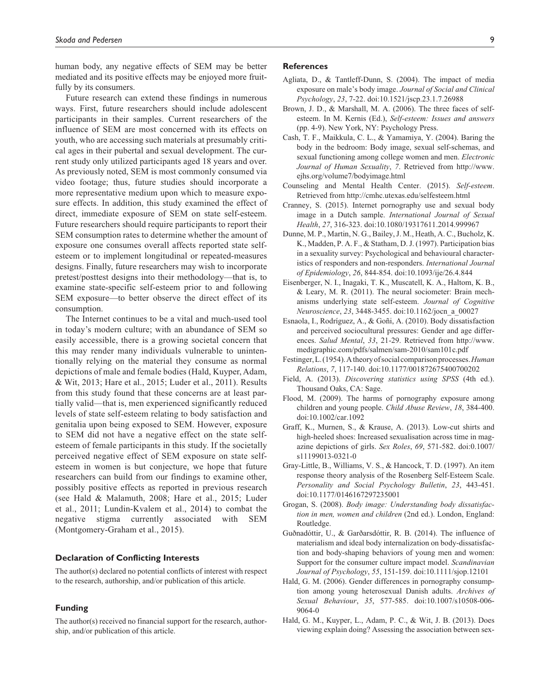human body, any negative effects of SEM may be better mediated and its positive effects may be enjoyed more fruitfully by its consumers.

Future research can extend these findings in numerous ways. First, future researchers should include adolescent participants in their samples. Current researchers of the influence of SEM are most concerned with its effects on youth, who are accessing such materials at presumably critical ages in their pubertal and sexual development. The current study only utilized participants aged 18 years and over. As previously noted, SEM is most commonly consumed via video footage; thus, future studies should incorporate a more representative medium upon which to measure exposure effects. In addition, this study examined the effect of direct, immediate exposure of SEM on state self-esteem. Future researchers should require participants to report their SEM consumption rates to determine whether the amount of exposure one consumes overall affects reported state selfesteem or to implement longitudinal or repeated-measures designs. Finally, future researchers may wish to incorporate pretest/posttest designs into their methodology—that is, to examine state-specific self-esteem prior to and following SEM exposure—to better observe the direct effect of its consumption.

The Internet continues to be a vital and much-used tool in today's modern culture; with an abundance of SEM so easily accessible, there is a growing societal concern that this may render many individuals vulnerable to unintentionally relying on the material they consume as normal depictions of male and female bodies (Hald, Kuyper, Adam, & Wit, 2013; Hare et al., 2015; Luder et al., 2011). Results from this study found that these concerns are at least partially valid—that is, men experienced significantly reduced levels of state self-esteem relating to body satisfaction and genitalia upon being exposed to SEM. However, exposure to SEM did not have a negative effect on the state selfesteem of female participants in this study. If the societally perceived negative effect of SEM exposure on state selfesteem in women is but conjecture, we hope that future researchers can build from our findings to examine other, possibly positive effects as reported in previous research (see Hald & Malamuth, 2008; Hare et al., 2015; Luder et al., 2011; Lundin-Kvalem et al., 2014) to combat the negative stigma currently associated with SEM (Montgomery-Graham et al., 2015).

#### **Declaration of Conflicting Interests**

The author(s) declared no potential conflicts of interest with respect to the research, authorship, and/or publication of this article.

#### **Funding**

The author(s) received no financial support for the research, authorship, and/or publication of this article.

#### **References**

- Agliata, D., & Tantleff-Dunn, S. (2004). The impact of media exposure on male's body image. *Journal of Social and Clinical Psychology*, *23*, 7-22. doi:10.1521/jscp.23.1.7.26988
- Brown, J. D., & Marshall, M. A. (2006). The three faces of selfesteem. In M. Kernis (Ed.), *Self-esteem: Issues and answers* (pp. 4-9). New York, NY: Psychology Press.
- Cash, T. F., Maikkula, C. L., & Yamamiya, Y. (2004). Baring the body in the bedroom: Body image, sexual self-schemas, and sexual functioning among college women and men. *Electronic Journal of Human Sexuality*, *7*. Retrieved from [http://www.](http://www.ejhs.org/volume7/bodyimage.html) [ejhs.org/volume7/bodyimage.html](http://www.ejhs.org/volume7/bodyimage.html)
- Counseling and Mental Health Center. (2015). *Self-esteem*. Retrieved from<http://cmhc.utexas.edu/selfesteem.html>
- Cranney, S. (2015). Internet pornography use and sexual body image in a Dutch sample. *International Journal of Sexual Health*, *27*, 316-323. doi:10.1080/19317611.2014.999967
- Dunne, M. P., Martin, N. G., Bailey, J. M., Heath, A. C., Bucholz, K. K., Madden, P. A. F., & Statham, D. J. (1997). Participation bias in a sexuality survey: Psychological and behavioural characteristics of responders and non-responders. *International Journal of Epidemiology*, *26*, 844-854. doi:10.1093/ije/26.4.844
- Eisenberger, N. I., Inagaki, T. K., Muscatell, K. A., Haltom, K. B., & Leary, M. R. (2011). The neural sociometer: Brain mechanisms underlying state self-esteem. *Journal of Cognitive Neuroscience*, *23*, 3448-3455. doi:10.1162/jocn\_a\_00027
- Esnaola, I., Rodríguez, A., & Goñi, A. (2010). Body dissatisfaction and perceived sociocultural pressures: Gender and age differences. *Salud Mental*, *33*, 21-29. Retrieved from [http://www.](http://www.medigraphic.com/pdfs/salmen/sam-2010/sam101c.pdf) [medigraphic.com/pdfs/salmen/sam-2010/sam101c.pdf](http://www.medigraphic.com/pdfs/salmen/sam-2010/sam101c.pdf)
- Festinger, L. (1954). A theory of social comparison processes. *Human Relations*, *7*, 117-140. doi:10.1177/001872675400700202
- Field, A. (2013). *Discovering statistics using SPSS* (4th ed.). Thousand Oaks, CA: Sage.
- Flood, M. (2009). The harms of pornography exposure among children and young people. *Child Abuse Review*, *18*, 384-400. doi:10.1002/car.1092
- Graff, K., Murnen, S., & Krause, A. (2013). Low-cut shirts and high-heeled shoes: Increased sexualisation across time in magazine depictions of girls. *Sex Roles*, *69*, 571-582. doi:0.1007/ s11199013-0321-0
- Gray-Little, B., Williams, V. S., & Hancock, T. D. (1997). An item response theory analysis of the Rosenberg Self-Esteem Scale. *Personality and Social Psychology Bulletin*, *23*, 443-451. doi:10.1177/0146167297235001
- Grogan, S. (2008). *Body image: Understanding body dissatisfaction in men, women and children* (2nd ed.). London, England: Routledge.
- Guðnadóttir, U., & Garðarsdóttir, R. B. (2014). The influence of materialism and ideal body internalization on body-dissatisfaction and body-shaping behaviors of young men and women: Support for the consumer culture impact model. *Scandinavian Journal of Psychology*, *55*, 151-159. doi:10.1111/sjop.12101
- Hald, G. M. (2006). Gender differences in pornography consumption among young heterosexual Danish adults. *Archives of Sexual Behaviour*, *35*, 577-585. doi:10.1007/s10508-006- 9064-0
- Hald, G. M., Kuyper, L., Adam, P. C., & Wit, J. B. (2013). Does viewing explain doing? Assessing the association between sex-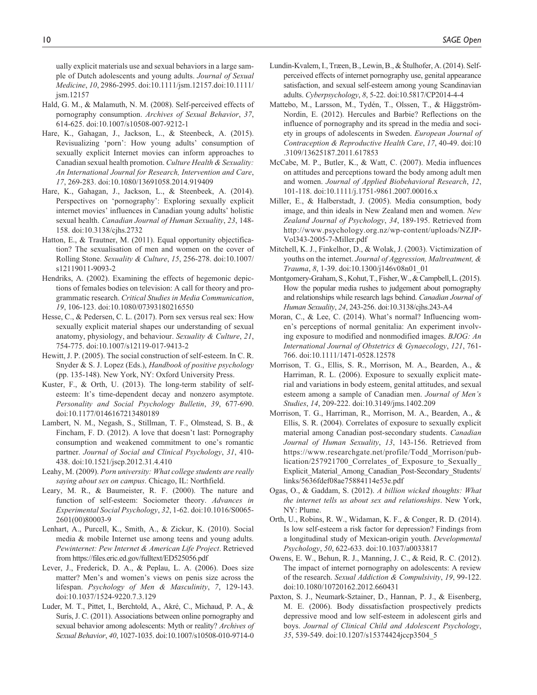ually explicit materials use and sexual behaviors in a large sample of Dutch adolescents and young adults. *Journal of Sexual Medicine*, *10*, 2986-2995. doi:10.1111/jsm.12157.doi:10.1111/ jsm.12157

- Hald, G. M., & Malamuth, N. M. (2008). Self-perceived effects of pornography consumption. *Archives of Sexual Behavior*, *37*, 614-625. doi:10.1007/s10508-007-9212-1
- Hare, K., Gahagan, J., Jackson, L., & Steenbeck, A. (2015). Revisualizing 'porn': How young adults' consumption of sexually explicit Internet movies can inform approaches to Canadian sexual health promotion. *Culture Health & Sexuality: An International Journal for Research, Intervention and Care*, *17*, 269-283. doi:10.1080/13691058.2014.919409
- Hare, K., Gahagan, J., Jackson, L., & Steenbeek, A. (2014). Perspectives on 'pornography': Exploring sexually explicit internet movies' influences in Canadian young adults' holistic sexual health. *Canadian Journal of Human Sexuality*, *23*, 148- 158. doi:10.3138/cjhs.2732
- Hatton, E., & Trautner, M. (2011). Equal opportunity objectification? The sexualisation of men and women on the cover of Rolling Stone. *Sexuality & Culture*, *15*, 256-278. doi:10.1007/ s12119011-9093-2
- Hendriks, A. (2002). Examining the effects of hegemonic depictions of females bodies on television: A call for theory and programmatic research. *Critical Studies in Media Communication*, *19*, 106-123. doi:10.1080/07393180216550
- Hesse, C., & Pedersen, C. L. (2017). Porn sex versus real sex: How sexually explicit material shapes our understanding of sexual anatomy, physiology, and behaviour. *Sexuality & Culture*, *21*, 754-775. doi:10.1007/s12119-017-9413-2
- Hewitt, J. P. (2005). The social construction of self-esteem. In C. R. Snyder & S. J. Lopez (Eds.), *Handbook of positive psychology* (pp. 135-148). New York, NY: Oxford University Press.
- Kuster, F., & Orth, U. (2013). The long-term stability of selfesteem: It's time-dependent decay and nonzero asymptote. *Personality and Social Psychology Bulletin*, *39*, 677-690. doi:10.1177/0146167213480189
- Lambert, N. M., Negash, S., Stillman, T. F., Olmstead, S. B., & Fincham, F. D. (2012). A love that doesn't last: Pornography consumption and weakened commitment to one's romantic partner. *Journal of Social and Clinical Psychology*, *31*, 410- 438. doi:10.1521/jscp.2012.31.4.410
- Leahy, M. (2009). *Porn university: What college students are really saying about sex on campus*. Chicago, IL: Northfield.
- Leary, M. R., & Baumeister, R. F. (2000). The nature and function of self-esteem: Sociometer theory. *Advances in Experimental Social Psychology*, *32*, 1-62. doi:10.1016/S0065- 2601(00)80003-9
- Lenhart, A., Purcell, K., Smith, A., & Zickur, K. (2010). Social media & mobile Internet use among teens and young adults. *Pewinternet: Pew Internet & American Life Project*. Retrieved from https://files.eric.ed.gov/fulltext/ED525056.pdf
- Lever, J., Frederick, D. A., & Peplau, L. A. (2006). Does size matter? Men's and women's views on penis size across the lifespan. *Psychology of Men & Masculinity*, *7*, 129-143. doi:10.1037/1524-9220.7.3.129
- Luder, M. T., Pittet, I., Berchtold, A., Akré, C., Michaud, P. A., & Surís, J. C. (2011). Associations between online pornography and sexual behavior among adolescents: Myth or reality? *Archives of Sexual Behavior*, *40*, 1027-1035. doi:10.1007/s10508-010-9714-0
- Lundin-Kvalem, I., Træen, B., Lewin, B., & Štulhofer, A. (2014). Selfperceived effects of internet pornography use, genital appearance satisfaction, and sexual self-esteem among young Scandinavian adults. *Cyberpsychology*, *8*, 5-22. doi:10.5817/CP2014-4-4
- Mattebo, M., Larsson, M., Tydén, T., Olssen, T., & Häggström-Nordin, E. (2012). Hercules and Barbie? Reflections on the influence of pornography and its spread in the media and society in groups of adolescents in Sweden. *European Journal of Contraception & Reproductive Health Care*, *17*, 40-49. doi:10 .3109/13625187.2011.617853
- McCabe, M. P., Butler, K., & Watt, C. (2007). Media influences on attitudes and perceptions toward the body among adult men and women. *Journal of Applied Biobehavioral Research*, *12*, 101-118. doi:10.1111/j.1751-9861.2007.00016.x
- Miller, E., & Halberstadt, J. (2005). Media consumption, body image, and thin ideals in New Zealand men and women. *New Zealand Journal of Psychology*, *34*, 189-195. Retrieved from [http://www.psychology.org.nz/wp-content/uploads/NZJP-](http://www.psychology.org.nz/wp-content/uploads/NZJP-Vol343-2005-7-Miller.pdf)[Vol343-2005-7-Miller.pdf](http://www.psychology.org.nz/wp-content/uploads/NZJP-Vol343-2005-7-Miller.pdf)
- Mitchell, K. J., Finkelhor, D., & Wolak, J. (2003). Victimization of youths on the internet. *Journal of Aggression, Maltreatment, & Trauma*, *8*, 1-39. doi:10.1300/j146v08n01\_01
- Montgomery-Graham, S., Kohut, T., Fisher, W., & Campbell, L. (2015). How the popular media rushes to judgement about pornography and relationships while research lags behind. *Canadian Journal of Human Sexuality*, *24*, 243-256. doi:10.3138/cjhs.243-A4
- Moran, C., & Lee, C. (2014). What's normal? Influencing women's perceptions of normal genitalia: An experiment involving exposure to modified and nonmodified images. *BJOG: An International Journal of Obstetrics & Gynaecology*, *121*, 761- 766. doi:10.1111/1471-0528.12578
- Morrison, T. G., Ellis, S. R., Morrison, M. A., Bearden, A., & Harriman, R. L. (2006). Exposure to sexually explicit material and variations in body esteem, genital attitudes, and sexual esteem among a sample of Canadian men. *Journal of Men's Studies*, *14*, 209-222. doi:10.3149/jms.1402.209
- Morrison, T. G., Harriman, R., Morrison, M. A., Bearden, A., & Ellis, S. R. (2004). Correlates of exposure to sexually explicit material among Canadian post-secondary students. *Canadian Journal of Human Sexuality*, *13*, 143-156. Retrieved from [https://www.researchgate.net/profile/Todd\\_Morrison/pub](https://www.researchgate.net/profile/Todd_Morrison/publication/257921700_Correlates_of_Exposure_to_Sexually_Explicit_Material_Among_Canadian_Post-Secondary_Students/links/5636fdef08ae75884114e53e.pdf)[lication/257921700\\_Correlates\\_of\\_Exposure\\_to\\_Sexually\\_](https://www.researchgate.net/profile/Todd_Morrison/publication/257921700_Correlates_of_Exposure_to_Sexually_Explicit_Material_Among_Canadian_Post-Secondary_Students/links/5636fdef08ae75884114e53e.pdf) [Explicit\\_Material\\_Among\\_Canadian\\_Post-Secondary\\_Students/](https://www.researchgate.net/profile/Todd_Morrison/publication/257921700_Correlates_of_Exposure_to_Sexually_Explicit_Material_Among_Canadian_Post-Secondary_Students/links/5636fdef08ae75884114e53e.pdf) [links/5636fdef08ae75884114e53e.pdf](https://www.researchgate.net/profile/Todd_Morrison/publication/257921700_Correlates_of_Exposure_to_Sexually_Explicit_Material_Among_Canadian_Post-Secondary_Students/links/5636fdef08ae75884114e53e.pdf)
- Ogas, O., & Gaddam, S. (2012). *A billion wicked thoughts: What the internet tells us about sex and relationships*. New York, NY: Plume.
- Orth, U., Robins, R. W., Widaman, K. F., & Conger, R. D. (2014). Is low self-esteem a risk factor for depression? Findings from a longitudinal study of Mexican-origin youth. *Developmental Psychology*, *50*, 622-633. doi:10.1037/a0033817
- Owens, E. W., Behun, R. J., Manning, J. C., & Reid, R. C. (2012). The impact of internet pornography on adolescents: A review of the research. *Sexual Addiction & Compulsivity*, *19*, 99-122. doi:10.1080/10720162.2012.660431
- Paxton, S. J., Neumark-Sztainer, D., Hannan, P. J., & Eisenberg, M. E. (2006). Body dissatisfaction prospectively predicts depressive mood and low self-esteem in adolescent girls and boys. *Journal of Clinical Child and Adolescent Psychology*, *35*, 539-549. doi:10.1207/s15374424jccp3504\_5